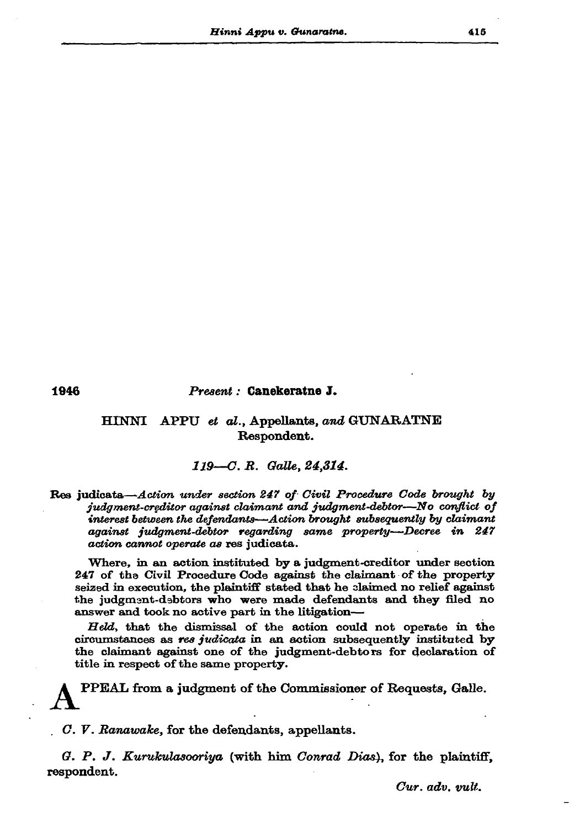1946

## Present : Canekeratne J.

## HINNI APPU et al., Appellants, and GUNARATNE Respondent.

## 119-C.R. Galle, 24,314.

Res judicata-Action under section 247 of Civil Procedure Code brought by judgment-creditor against claimant and judgment-debtor-No conflict of interest between the defendants-Action brought subsequently by claimant against judgment-debtor regarding same property--Decree in 247 action cannot operate as res judicata.

Where, in an action instituted by a judgment-creditor under section 247 of the Civil Procedure Code against the claimant of the property seized in execution, the plaintiff stated that he claimed no relief against the judgment-debtors who were made defendants and they filed no answer and took no active part in the litigation-

Held, that the dismissal of the action could not operate in the circumstances as res judicata in an action subsequently instituted by the claimant against one of the judgment-debtors for declaration of title in respect of the same property.

PPEAL from a judgment of the Commissioner of Requests, Galle.

 $C. V.$  Ranawake, for the defendants, appellants.

G. P. J. Kurukulasooriya (with him Conrad Dias), for the plaintiff, respondent.

Cur. adv. vult.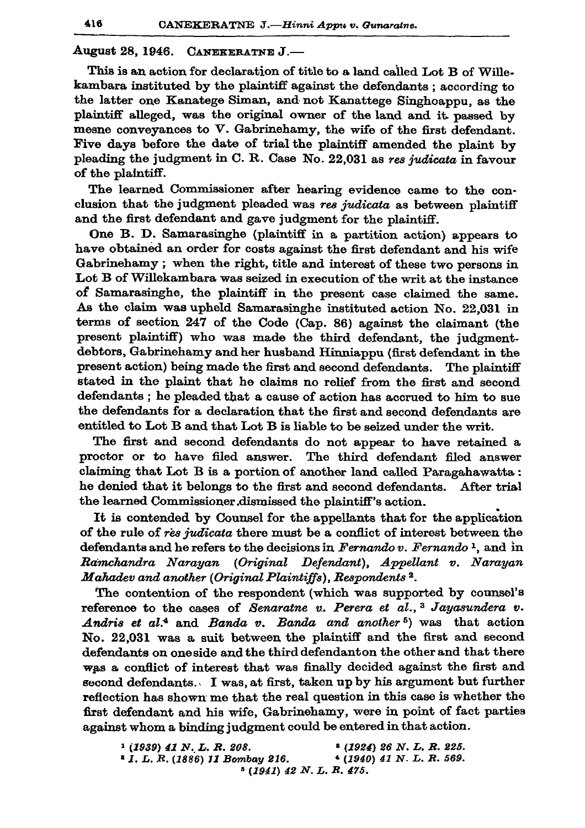## August 28. 1946. CANEKERATNE J.-

This is an action for declaration of title to a land called Lot B of Willekambara instituted by the plaintiff against the defendants; according to the latter one Kanatege Siman, and not Kanattege Singhoappu, as the plaintiff alleged, was the original owner of the land and it passed by mesne convevances to V. Gabrinehamy, the wife of the first defendant. Five days before the date of trial the plaintiff amended the plaint by pleading the judgment in C. R. Case No. 22,031 as res judicata in favour of the plaintiff.

The learned Commissioner after hearing evidence came to the conclusion that the judgment pleaded was res judicata as between plaintiff and the first defendant and gave judgment for the plaintiff.

One B. D. Samarasinghe (plaintiff in a partition action) appears to have obtained an order for costs against the first defendant and his wife Gabrinehamy; when the right, title and interest of these two persons in Lot B of Willekambara was seized in execution of the writ at the instance of Samarasinghe, the plaintiff in the present case claimed the same. As the claim was upheld Samarasinghe instituted action No. 22.031 in terms of section  $247$  of the Code (Cap. 86) against the claimant (the present plaintiff) who was made the third defendant, the judgmentdebtors, Gabrinehamy and her husband Hinniappu (first defendant in the present action) being made the first and second defendants. The plaintiff stated in the plaint that he claims no relief from the first and second defendants ; he pleaded that a cause of action has accrued to him to sue the defendants for a declaration that the first and second defendants are entitled to Lot B and that Lot B is liable to be seized under the writ.

The first and second defendants do not appear to have retained a proctor or to have filed answer. The third defendant filed answer claiming that Lot B is a portion of another land called Paragahawatta: he denied that it belongs to the first and second defendants. After trial the learned Commissioner dismissed the plaintiff's action.

It is contended by Counsel for the appellants that for the application of the rule of res judicata there must be a conflict of interest between the defendants and he refers to the decisions in Fernando v. Fernando <sup>1</sup>, and in Ramchandra Narayan (Original Defendant), Appellant v. Narayan Mahadev and another (Original Plaintiffs), Respondents<sup>2</sup>.

The contention of the respondent (which was supported by counsel's reference to the cases of Senaratne v. Perera et  $a\overline{l}$ , 3 Jayasundera v. Andris et al.<sup>4</sup> and Banda v. Banda and another<sup>5</sup>) was that action No. 22,031 was a suit between the plaintiff and the first and second defendants on one side and the third defendant on the other and that there was a conflict of interest that was finally decided against the first and second defendants. I was, at first, taken up by his argument but further reflection has shown me that the real question in this case is whether the first defendant and his wife, Gabrinehamy, were in point of fact parties against whom a binding judgment could be entered in that action.

| $(1939)$ 41 N.L.R. 208.                    | $(1924)$ 26 N.L.R. 225. |
|--------------------------------------------|-------------------------|
| <sup>2</sup> I.L. R. (1886) 11 Bombay 216. | $(1940)$ 41 N.L.R.569.  |
| $(1941)$ 42 N.L.R. 475.                    |                         |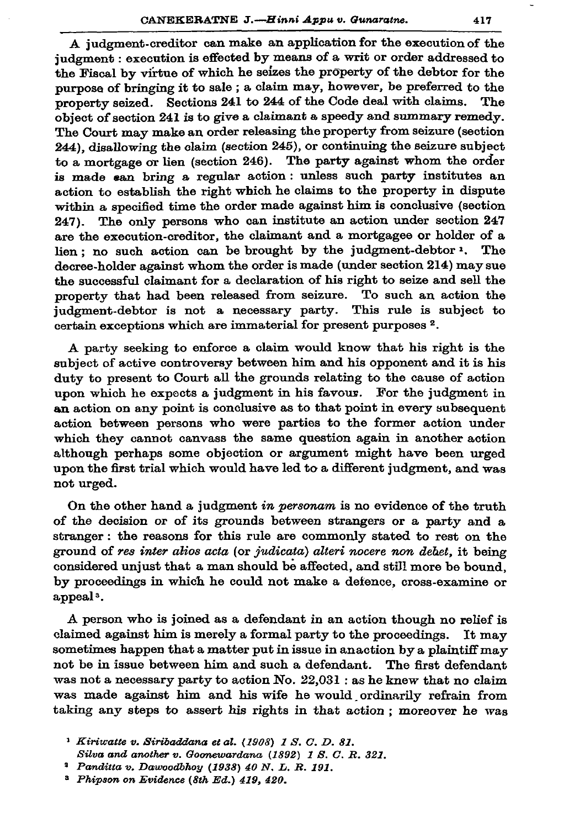A judgment-creditor can make an application for the execution of the judgment: execution is effected by means of a writ or order addressed to the Fiscal by virtue of which he seizes the property of the debtor for the purpose of bringing it to sale; a claim may, however, be preferred to the property seized. Sections 241 to 244 of the Code deal with claims. The object of section 241 is to give a claimant a speedy and summary remedy. The Court may make an order releasing the property from seizure (section 244), disallowing the claim (section 245), or continuing the seizure subject to a mortgage or lien (section 246). The party against whom the order is made can bring a regular action: unless such party institutes an action to establish the right which he claims to the property in dispute within a specified time the order made against him is conclusive (section The only persons who can institute an action under section 247  $247.$ are the execution-creditor, the claimant and a mortgagee or holder of a lien : no such action can be brought by the judgment-debtor<sup>1</sup>. The decree-holder against whom the order is made (under section 214) may sue the successful claimant for a declaration of his right to seize and sell the property that had been released from seizure. To such an action the judgment-debtor is not a necessary party. This rule is subject to certain exceptions which are immaterial for present purposes <sup>2</sup>.

A party seeking to enforce a claim would know that his right is the subject of active controversy between him and his opponent and it is his duty to present to Court all the grounds relating to the cause of action upon which he expects a judgment in his favour. For the judgment in an action on any point is conclusive as to that point in every subsequent action between persons who were parties to the former action under which they cannot canyass the same question again in another action although perhaps some objection or argument might have been urged upon the first trial which would have led to a different judgment, and was not urged.

On the other hand a judgment in personam is no evidence of the truth of the decision or of its grounds between strangers or a party and a stranger: the reasons for this rule are commonly stated to rest on the ground of res inter alios acta (or judicata) alteri nocere non debet, it being considered unjust that a man should be affected, and still more be bound. by proceedings in which he could not make a defence, cross-examine or appeal<sup>3</sup>.

A person who is joined as a defendant in an action though no relief is claimed against him is merely a formal party to the proceedings. It may sometimes happen that a matter put in issue in an action by a plaintiff may not be in issue between him and such a defendant. The first defendant was not a necessary party to action No. 22,031 : as he knew that no claim was made against him and his wife he would ordinarily refrain from taking any steps to assert his rights in that action; moreover he was

<sup>&</sup>lt;sup>1</sup> Kiriwatte v. Siribaddana et al. (1908) 1 S. C. D. 81.

Silva and another v. Goonewardana (1892) 1 S. C. R. 321.

<sup>&</sup>lt;sup>3</sup> Panditta v. Dawoodbhoy (1938) 40 N. L. R. 191.

<sup>&</sup>lt;sup>3</sup> Phipson on Evidence (8th Ed.) 419, 420.